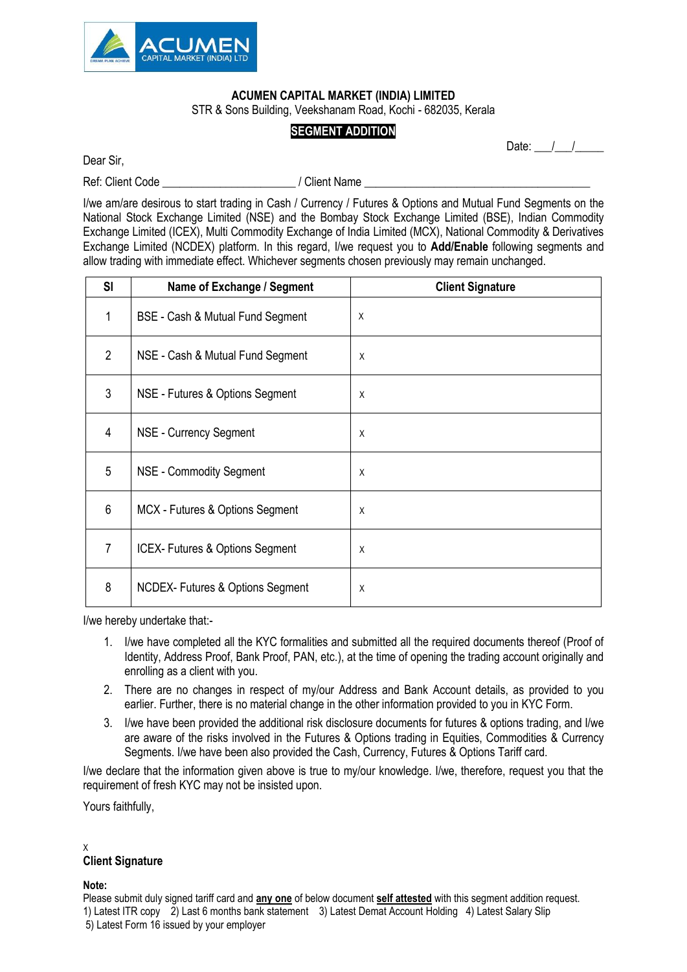

## **ACUMEN CAPITAL MARKET (INDIA) LIMITED**

STR & Sons Building, Veekshanam Road, Kochi - 682035, Kerala

## **SEGMENT ADDITION**

Date:  $/$  /

Dear Sir,

Ref: Client Code \_\_\_\_\_\_\_\_\_\_\_\_\_\_\_\_\_\_\_\_\_\_\_ / Client Name \_\_\_\_\_\_\_\_\_\_\_\_\_\_\_\_\_\_\_\_\_\_\_\_\_\_\_\_\_\_\_\_\_\_\_\_\_\_\_

I/we am/are desirous to start trading in Cash / Currency / Futures & Options and Mutual Fund Segments on the National Stock Exchange Limited (NSE) and the Bombay Stock Exchange Limited (BSE), Indian Commodity Exchange Limited (ICEX), Multi Commodity Exchange of India Limited (MCX), National Commodity & Derivatives Exchange Limited (NCDEX) platform. In this regard, I/we request you to **Add/Enable** following segments and allow trading with immediate effect. Whichever segments chosen previously may remain unchanged.

| SI             | Name of Exchange / Segment                 | <b>Client Signature</b> |
|----------------|--------------------------------------------|-------------------------|
| $\mathbf{1}$   | BSE - Cash & Mutual Fund Segment           | X                       |
| $\overline{2}$ | NSE - Cash & Mutual Fund Segment           | X                       |
| 3              | NSE - Futures & Options Segment            | X                       |
| $\overline{4}$ | NSE - Currency Segment                     | X                       |
| 5              | NSE - Commodity Segment                    | X                       |
| $6\phantom{1}$ | MCX - Futures & Options Segment            | X                       |
| $\overline{7}$ | ICEX- Futures & Options Segment            | X                       |
| 8              | <b>NCDEX-Futures &amp; Options Segment</b> | X                       |

I/we hereby undertake that:-

- 1. I/we have completed all the KYC formalities and submitted all the required documents thereof (Proof of Identity, Address Proof, Bank Proof, PAN, etc.), at the time of opening the trading account originally and enrolling as a client with you.
- 2. There are no changes in respect of my/our Address and Bank Account details, as provided to you earlier. Further, there is no material change in the other information provided to you in KYC Form.
- 3. I/we have been provided the additional risk disclosure documents for futures & options trading, and I/we are aware of the risks involved in the Futures & Options trading in Equities, Commodities & Currency Segments. I/we have been also provided the Cash, Currency, Futures & Options Tariff card.

I/we declare that the information given above is true to my/our knowledge. I/we, therefore, request you that the requirement of fresh KYC may not be insisted upon.

Yours faithfully,

## X **Client Signature**

**Note:**

Please submit duly signed tariff card and **any one** of below document **self attested** with this segment addition request. 1) Latest ITR copy 2) Last 6 months bank statement 3) Latest Demat Account Holding 4) Latest Salary Slip 5) Latest Form 16 issued by your employer